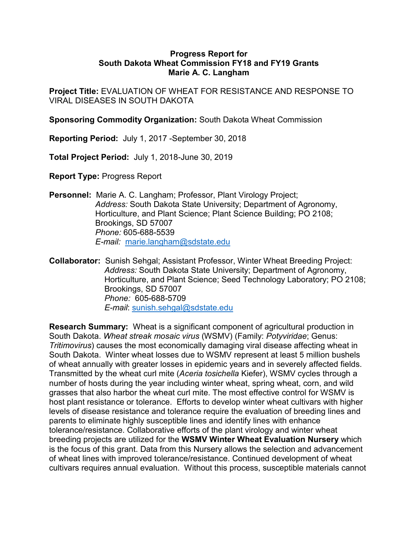## Progress Report for Progress Report for<br>South Dakota Wheat Commission FY18 and FY19 Grants<br>Marie A. C. Langham<br>EVALUATION OF WHEAT FOR RESISTANCE AND RESPONSE TO<br>SES IN SOUTH DAKOTA Marie A. C. Langham

Project Title: EVALUATION OF WHEAT FOR RESISTANCE AND RESPONSE TO VIRAL DISEASES IN SOUTH DAKOTA

Sponsoring Commodity Organization: South Dakota Wheat Commission

Reporting Period: July 1, 2017 -September 30, 2018

Total Project Period: July 1, 2018-June 30, 2019

Report Type: Progress Report

Personnel: Marie A. C. Langham; Professor, Plant Virology Project; Address: South Dakota State University; Department of Agronomy, Horticulture, and Plant Science; Plant Science Building; PO 2108; Brookings, SD 57007 Phone: 605-688-5539 E-mail: marie.langham@sdstate.edu **Project Title:** EVALUATION OF WHEAT FOR RESISTANCE AND RESPONSE TO<br>VIRAL DISEASES IN SOUTH DAKOTA<br> **Sponsoring Commodity Organization:** South Dakota Wheat Commission<br> **Reporting Period:** July 1, 2017 -September 30, 2018<br>

Address: South Dakota State University; Department of Agronomy, noticulture, and Plant Science; Seed Technology Laboratory; Phone: 005-688-5709<br>
Progress Report<br>
are A. C. Langham; Professor, Plant Virology Project;<br>
are A. C. Langham; Professor, Plant Virology Project;<br>
are A. C. Lang Brookings, SD 57007 Phone: 605-688-5709 E-mail: sunish.sehgal@sdstate.edu Total Project Period: July 1, 2018-June 30, 2019<br>
Report Type: Progress Report<br>
Personnel: Marie A. C. Langham; Professor, Plant Virology Project;<br>
Address: South Dakota State University; Department of Agronomy,<br>
Horticult

**Report Type:** Progress Report<br> **Personnel:** Marie A. C. Langham; Professor, Plant Virology Project;<br>
Address: South Dakota State University: Department of Agronomy,<br>
Horticulture, and Plant Science; Plant Science Building **Report Type:** Progress Report<br> **Personnel:** Marie A. C. Langham; Professor, Plant Virology Project;<br>
Address: South Dakota State University; Department of Agronomy,<br>
Horticulture, and Plant Science; Plant Science Building South Dakota. Winter wheat losses due to WSMV represent at least 5 million bushels **Personnel:** Marie A. C. Langham; Professor, Plant Virology Project;<br>
Address: Soluth Dakota State University; Department of Agronomy,<br>
Horticulture, and Plant Science; Plant Science Building; PO 2108;<br>
Brookings, SD 57007 Transmitted by the wheat curl mite (Aceria tosichella Kiefer), WSMV cycles through a number of hosts during the year including winter wheat, spring wheat, corn, and wild grasses that also harbor the wheat curl mite. The most effective control for WSMV is host plant resistance or tolerance. Efforts to develop winter wheat cultivars with higher levels of disease resistance and tolerance require the evaluation of breeding lines and **Collaborator:** Summan: <u>Innee Janguanning assaste eco</u><br>
Collaborator: Sumsh Sehgal; Assists and Professor, Winter Wheat Breeding Project:<br> *Brookings*, SD 57007<br> *Phone:* 605-688-5709<br> *Phone:* 605-688-5709<br> *Phone:* 605 tolerance/resistance. Collaborative efforts of the plant virology and winter wheat breeding projects are utilized for the WSMV Winter Wheat Evaluation Nursery which is the focus of this grant control and the focus of the focusing the provides and the forecast of the provides, so 5700?<br> *Phone:* 605-688-5709<br> *Phone:* 605-688-5709<br> *E-mail:* sumish.sehgal@sdstate.edu<br> **Research Summary** Froncularie, and Frain Sueline, seed Fectionally Jabonatory, FO 2100, Brookings, SD 57007<br> *Phone:* 605-688-5709<br> *Phone:* 605-688-5709<br> **Research Summary:** Wheat is a significant component of agricultural production in<br> cultivars requires annual evaluation. Without this process, susceptible materials cannot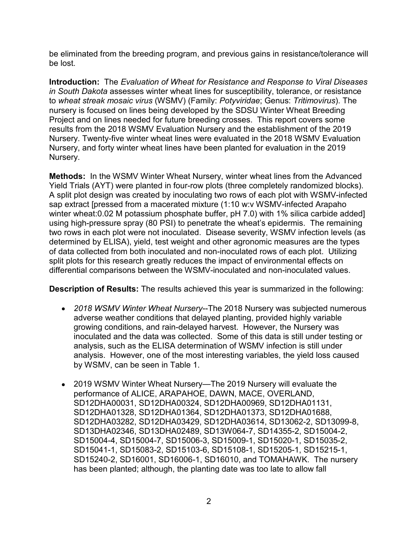be eliminated from the breeding program, and previous gains in resistance/tolerance will be lost.

Introduction: The Evaluation of Wheat for Resistance and Response to Viral Diseases in South Dakota assesses winter wheat lines for susceptibility, tolerance, or resistance to wheat streak mosaic virus (WSMV) (Family: Potyviridae; Genus: Tritimovirus). The nursery is focused on lines being developed by the SDSU Winter Wheat Breeding be eliminated from the breeding program, and previous gains in resistance/tolerance will<br>be lost.<br>Introduction: The Evaluation of Wheat for Resistance and Response to Viral Diseases<br>in South Dakota assesses winter wheat li results from the 2018 WSMV Evaluation Nursery and the establishment of the 2019 be eliminated from the breeding program, and previous gains in resistance/tolerance will<br>be lost.<br>Introduction: The Evaluation of Wheat for Resistance and Response to Viral Diseases<br>in South Dakota assesses winter wheat li Nursery, and forty winter wheat lines have been planted for evaluation in the 2019 Nursery. be eliminated from the breeding program, and previous gains in resistance/tolerance will<br>be lost.<br>Introduction: The Evaluation of Wheat for Resistance and Response to Viral Diseases<br>in South Dakota assesses winter wheat li

**Methods:** In the WSMV Winter Wheat Nursery, winter wheat lines from the Advanced Yield Trials (AYT) were planted in four-row plots (three completely randomized blocks). A split plot design was created by inoculating two rows of each plot with WSMV-infected sap extract [pressed from a macerated mixture (1:10 w:v WSMV-infected Arapaho winter wheat:0.02 M potassium phosphate buffer, pH 7.0) with 1% silica carbide added] using high-pressure spray (80 PSI) to penetrate the wheat's epidermis. The remaining two rows in each plot were not inoculated. Disease severity, WSMV infection levels (as determined by ELISA), yield, test weight and other agronomic measures are the types Introduction: The Evaluation of Wheat for Resistance and Response to Viral Diseases<br>In South Daktota assesses winter wheat lines for susceptibility, tolerance, or resistance<br>for wheat streak mosaic virus (WSMV) (Family: Po In South Dakota assesses winter wheat this for susceptibility, tolerance or or ensistance<br>
In South Dakota assesses winter wheat lines for susceptibility, tolerance, or resistance<br>
to wheat streak mosaic virus (WSMV) (Fami differential comparisons between the WSMV-inoculated and non-inoculated values.

Description of Results: The results achieved this year is summarized in the following:

- 2018 WSMV Winter Wheat Nursery--The 2018 Nursery was subjected numerous adverse weather conditions that delayed planting, provided highly variable growing conditions, and rain-delayed harvest. However, the Nursery was inoculated and the data was collected. Some of this data is still under testing or analysis, such as the ELISA determination of WSMV infection is still under analysis. However, one of the most interesting variables, the yield loss caused by WSMV, can be seen in Table 1.
- 2019 WSMV Winter Wheat Nursery—The 2019 Nursery will evaluate the performance of ALICE, ARAPAHOE, DAWN, MACE, OVERLAND, SD12DHA00031, SD12DHA00324, SD12DHA00969, SD12DHA01131, SD12DHA01328, SD12DHA01364, SD12DHA01373, SD12DHA01688, mount of collected from both inoculated and non-inoculated rows of each plot. Utilizing<br>sols for this research greatly reduces the impact of environmental effects on<br>tial comparisons between the WSMV-inoculated and non-ino Solicy of this research greatly reduces the impact of environmental effects on<br>this for this research greatly reduces the impact of environmental effects on<br>tital comparisons between the WSMV-inoculated and non-inoculated both completions between the WSMV-inoculated and non-inoculated values.<br>
ption of Results: The results achieved this year is summarized in the following:<br>
2018 WSMV Winter Wheat Nursery-The 2018 Nursery was subjected numer nal. Comparisons Detricori and World interacted and not incomparated viatio.<br>
2018 WSMV Winter Wheat Nursery—The 2018 Nursery was subjected numerous<br>
adverse weather conditions that delayed planting, provided highly variab ption of Results: The results achieved this year is summarized in the following:<br>
2018 WSMV Winter Wheat Nursery--The 2018 Nursery was subjected numerous<br>
adverse weather conditions that delayed planting, provided highly v has been planted; although, the planting date was too late to allow fall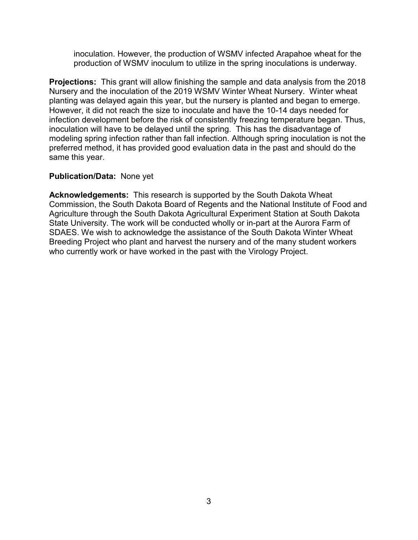production of WSMV inoculum to utilize in the spring inoculations is underway.

inoculation. However, the production of WSMV infected Arapahoe wheat for the<br>production of WSMV inoculum to utilize in the spring inoculations is underway.<br>**tions:** This grant will allow finishing the sample and data analy Projections: This grant will allow finishing the sample and data analysis from the 2018 Nursery and the inoculation of the 2019 WSMV Winter Wheat Nursery. Winter wheat planting was delayed again this year, but the nursery is planted and began to emerge. inoculation. However, the production of WSMV infected Arapahoe wheat for the<br>production of WSMV inoculum to utilize in the spring inoculations is underway.<br>**Projections:** This grant will allow finishing the sample and data inoculation. However, the production of WSMV infected Arapahoe wheat for the production of WSMV incculum to utilize in the spring inoculations is underway.<br> **Projections:** This grant will allow finishing the sample and dat inoculation. However, the production of WSMV infected Arapahoe wheat for the production of WSMV inoculum to utilize in the spring inoculations is underway.<br>**Projections:** This grant will allow finishing the sample and data inoculation will have to be delayed until the spring. This has the disadvantage of inoculation. However, the production of WSMV infected Arapahoe wheat for the production of WSMV inoculum to utilize in the spring inoculations is underway.<br>**Projections:** This grant will allow finishing the sample and data preferred method, it has provided good evaluation data in the past and should do the same this year. inoculation. However, the production of WSMV infected Arapahoe wheat for the production of WSMV inoculum to utilize in the spring inoculations is underway.<br> **Projections:** This grant will allow finishing the sample and dat **Projections:** This grant will allow finishing the sample and data analysis from the 2018<br>Nursery and the inoculation of the 2019 WSMV Winter Where Where Where wheat<br>Planting was delayed again this year, but the nursery is

## Publication/Data: None yet

Acknowledgements: This research is supported by the South Dakota Wheat Commission, the South Dakota Board of Regents and the National Institute of Food and Agriculture through the South Dakota Agricultural Experiment Station at South Dakota<br>State University. The work will be conducted wholly or in-part at the Aurora Farm of SDAES. We wish to acknowledge the assistance of the South Dakota Winter Wheat Breeding Project who plant and harvest the nursery and of the many student workers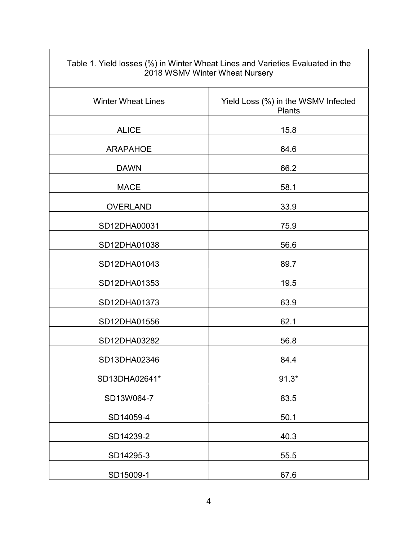| Table 1. Yield losses (%) in Winter Wheat Lines and Varieties Evaluated in the<br>2018 WSMV Winter Wheat Nursery |                                               |  |
|------------------------------------------------------------------------------------------------------------------|-----------------------------------------------|--|
| <b>Winter Wheat Lines</b>                                                                                        | Yield Loss (%) in the WSMV Infected<br>Plants |  |
| <b>ALICE</b>                                                                                                     | 15.8                                          |  |
| <b>ARAPAHOE</b>                                                                                                  | 64.6                                          |  |
| <b>DAWN</b>                                                                                                      | 66.2                                          |  |
| <b>MACE</b>                                                                                                      | 58.1                                          |  |
| <b>OVERLAND</b>                                                                                                  | 33.9                                          |  |
| SD12DHA00031                                                                                                     | 75.9                                          |  |
| SD12DHA01038                                                                                                     | 56.6                                          |  |
| SD12DHA01043                                                                                                     | 89.7                                          |  |
| SD12DHA01353                                                                                                     | 19.5                                          |  |
| SD12DHA01373                                                                                                     | 63.9                                          |  |
| SD12DHA01556                                                                                                     | 62.1                                          |  |
| SD12DHA03282                                                                                                     | 56.8                                          |  |
| SD13DHA02346                                                                                                     | 84.4                                          |  |
| SD13DHA02641*                                                                                                    | $91.3*$                                       |  |
| SD13W064-7                                                                                                       | 83.5                                          |  |
| SD14059-4                                                                                                        | 50.1                                          |  |
| SD14239-2                                                                                                        | 40.3                                          |  |
| SD14295-3                                                                                                        | 55.5                                          |  |
| SD15009-1                                                                                                        | 67.6                                          |  |